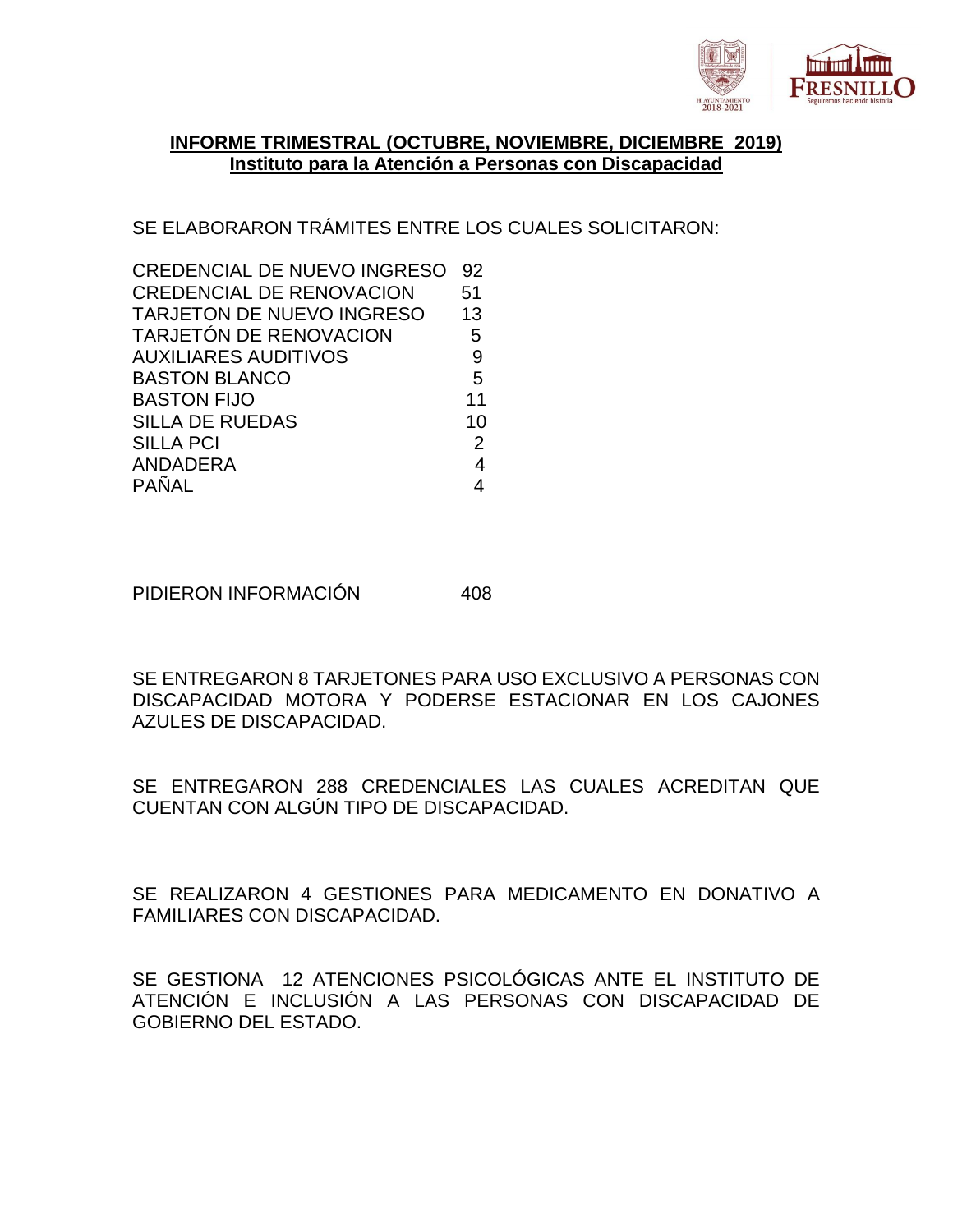

## **INFORME TRIMESTRAL (OCTUBRE, NOVIEMBRE, DICIEMBRE 2019) Instituto para la Atención a Personas con Discapacidad**

SE ELABORARON TRÁMITES ENTRE LOS CUALES SOLICITARON:

| <b>CREDENCIAL DE NUEVO INGRESO</b> | 92             |
|------------------------------------|----------------|
| <b>CREDENCIAL DE RENOVACION</b>    | 51             |
| <b>TARJETON DE NUEVO INGRESO</b>   | 13             |
| <b>TARJETÓN DE RENOVACION</b>      | 5              |
| <b>AUXILIARES AUDITIVOS</b>        | 9              |
| <b>BASTON BLANCO</b>               | 5              |
| <b>BASTON FIJO</b>                 | 11             |
| <b>SILLA DE RUEDAS</b>             | 10             |
| <b>SILLA PCI</b>                   | $\overline{2}$ |
| ANDADERA                           | $\overline{4}$ |
| <b>PAÑAL</b>                       |                |
|                                    |                |

PIDIERON INFORMACIÓN 408

SE ENTREGARON 8 TARJETONES PARA USO EXCLUSIVO A PERSONAS CON DISCAPACIDAD MOTORA Y PODERSE ESTACIONAR EN LOS CAJONES AZULES DE DISCAPACIDAD.

SE ENTREGARON 288 CREDENCIALES LAS CUALES ACREDITAN QUE CUENTAN CON ALGÚN TIPO DE DISCAPACIDAD.

SE REALIZARON 4 GESTIONES PARA MEDICAMENTO EN DONATIVO A FAMILIARES CON DISCAPACIDAD.

SE GESTIONA 12 ATENCIONES PSICOLÓGICAS ANTE EL INSTITUTO DE ATENCIÓN E INCLUSIÓN A LAS PERSONAS CON DISCAPACIDAD DE GOBIERNO DEL ESTADO.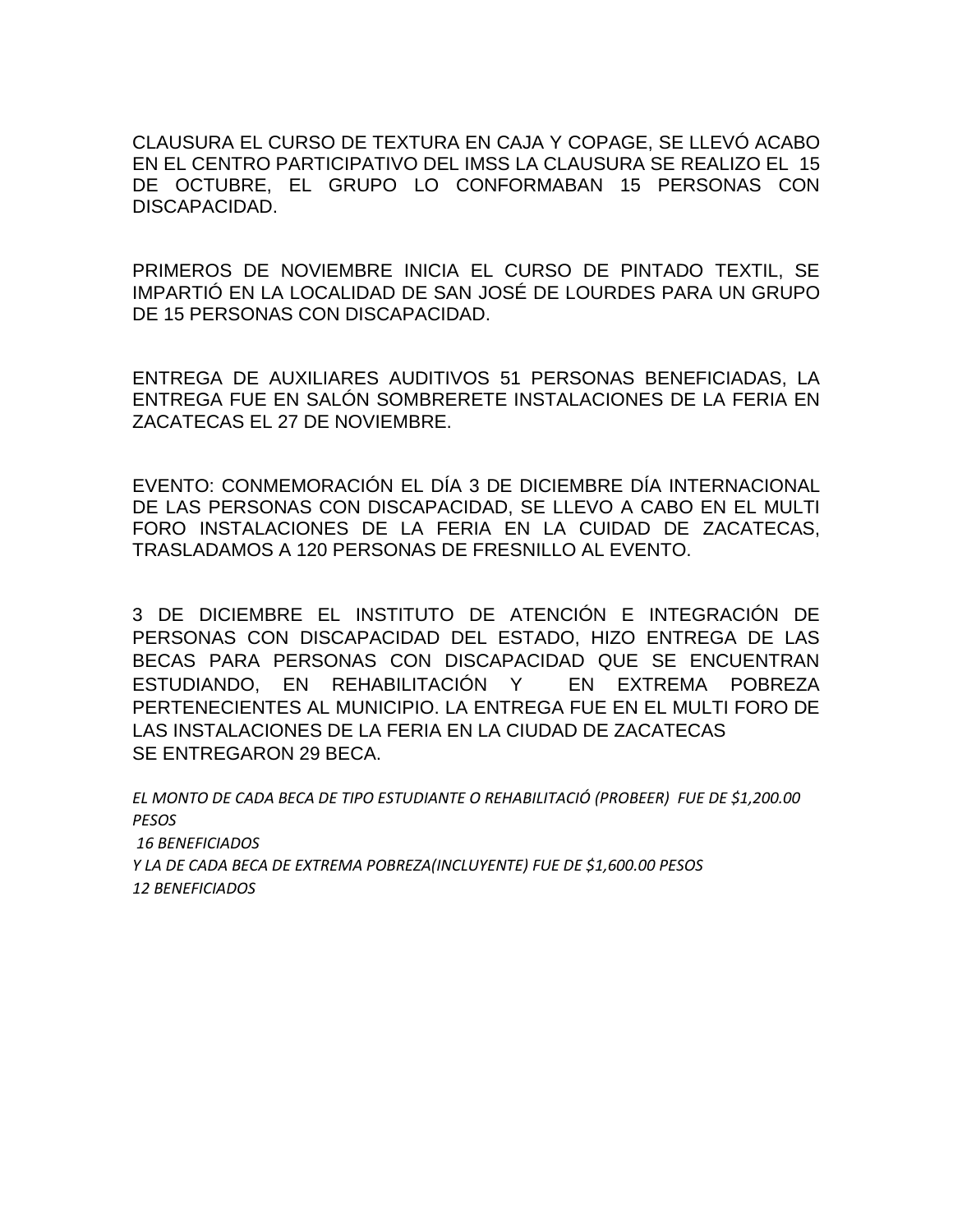CLAUSURA EL CURSO DE TEXTURA EN CAJA Y COPAGE, SE LLEVÓ ACABO EN EL CENTRO PARTICIPATIVO DEL IMSS LA CLAUSURA SE REALIZO EL 15 DE OCTUBRE, EL GRUPO LO CONFORMABAN 15 PERSONAS CON DISCAPACIDAD.

PRIMEROS DE NOVIEMBRE INICIA EL CURSO DE PINTADO TEXTIL, SE IMPARTIÓ EN LA LOCALIDAD DE SAN JOSÉ DE LOURDES PARA UN GRUPO DE 15 PERSONAS CON DISCAPACIDAD.

ENTREGA DE AUXILIARES AUDITIVOS 51 PERSONAS BENEFICIADAS, LA ENTREGA FUE EN SALÓN SOMBRERETE INSTALACIONES DE LA FERIA EN ZACATECAS EL 27 DE NOVIEMBRE.

EVENTO: CONMEMORACIÓN EL DÍA 3 DE DICIEMBRE DÍA INTERNACIONAL DE LAS PERSONAS CON DISCAPACIDAD, SE LLEVO A CABO EN EL MULTI FORO INSTALACIONES DE LA FERIA EN LA CUIDAD DE ZACATECAS, TRASLADAMOS A 120 PERSONAS DE FRESNILLO AL EVENTO.

3 DE DICIEMBRE EL INSTITUTO DE ATENCIÓN E INTEGRACIÓN DE PERSONAS CON DISCAPACIDAD DEL ESTADO, HIZO ENTREGA DE LAS BECAS PARA PERSONAS CON DISCAPACIDAD QUE SE ENCUENTRAN ESTUDIANDO, EN REHABILITACIÓN Y EN EXTREMA POBREZA PERTENECIENTES AL MUNICIPIO. LA ENTREGA FUE EN EL MULTI FORO DE LAS INSTALACIONES DE LA FERIA EN LA CIUDAD DE ZACATECAS SE ENTREGARON 29 BECA.

*EL MONTO DE CADA BECA DE TIPO ESTUDIANTE O REHABILITACIÓ (PROBEER) FUE DE \$1,200.00 PESOS 16 BENEFICIADOS Y LA DE CADA BECA DE EXTREMA POBREZA(INCLUYENTE) FUE DE \$1,600.00 PESOS 12 BENEFICIADOS*